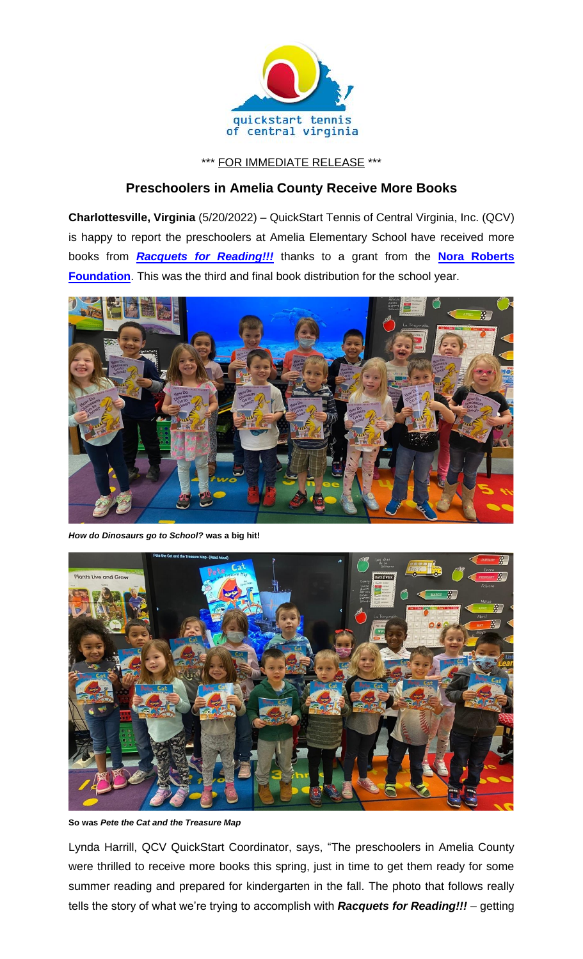

## \*\*\* FOR IMMEDIATE RELEASE \*\*\*

## **Preschoolers in Amelia County Receive More Books**

**Charlottesville, Virginia** (5/20/2022) – QuickStart Tennis of Central Virginia, Inc. (QCV) is happy to report the preschoolers at Amelia Elementary School have received more books from *[Racquets for Reading!!!](https://www.quickstartcentral.org/pages/index.cfm?siteid=23306)* thanks to a grant from the **Nora [Roberts](http://norarobertsfoundation.org/)  [Foundation](http://norarobertsfoundation.org/)**. This was the third and final book distribution for the school year.



*How do Dinosaurs go to School?* **was a big hit!**



**So was** *Pete the Cat and the Treasure Map*

Lynda Harrill, QCV QuickStart Coordinator, says, "The preschoolers in Amelia County were thrilled to receive more books this spring, just in time to get them ready for some summer reading and prepared for kindergarten in the fall. The photo that follows really tells the story of what we're trying to accomplish with *Racquets for Reading!!!* – getting